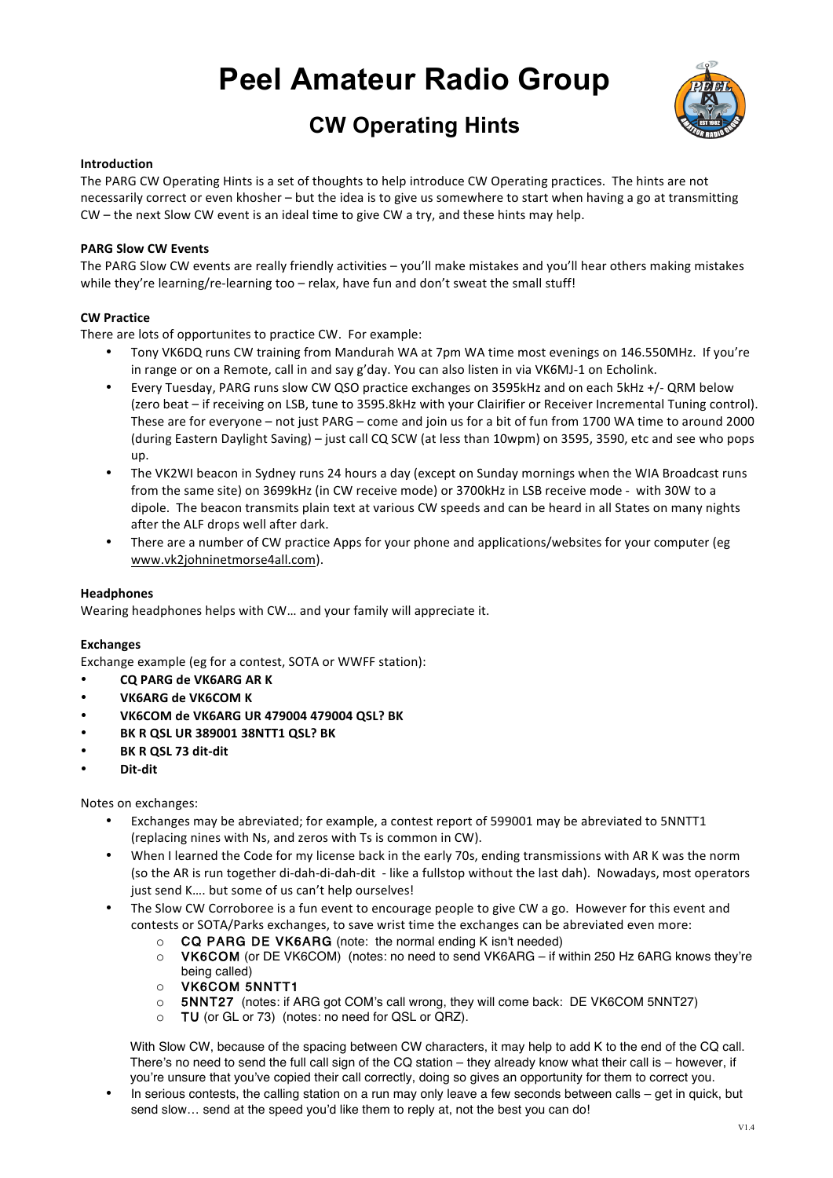# **Peel Amateur Radio Group**

# **CW Operating Hints**



# **Introduction**

The PARG CW Operating Hints is a set of thoughts to help introduce CW Operating practices. The hints are not necessarily correct or even khosher – but the idea is to give us somewhere to start when having a go at transmitting  $CW$  – the next Slow CW event is an ideal time to give CW a try, and these hints may help.

# **PARG Slow CW Events**

The PARG Slow CW events are really friendly activities - you'll make mistakes and you'll hear others making mistakes while they're learning/re-learning too  $-$  relax, have fun and don't sweat the small stuff!

# **CW Practice**

There are lots of opportunites to practice CW. For example:

- Tony VK6DQ runs CW training from Mandurah WA at 7pm WA time most evenings on 146.550MHz. If you're in range or on a Remote, call in and say g'day. You can also listen in via VK6MJ-1 on Echolink.
- Every Tuesday, PARG runs slow CW QSO practice exchanges on 3595kHz and on each 5kHz +/- QRM below (zero beat – if receiving on LSB, tune to 3595.8kHz with your Clairifier or Receiver Incremental Tuning control). These are for everyone – not just PARG – come and join us for a bit of fun from 1700 WA time to around 2000 (during Eastern Daylight Saving) – just call CQ SCW (at less than 10wpm) on 3595, 3590, etc and see who pops up.
- The VK2WI beacon in Sydney runs 24 hours a day (except on Sunday mornings when the WIA Broadcast runs from the same site) on 3699kHz (in CW receive mode) or 3700kHz in LSB receive mode - with 30W to a dipole. The beacon transmits plain text at various CW speeds and can be heard in all States on many nights after the ALF drops well after dark.
- There are a number of CW practice Apps for your phone and applications/websites for your computer (eg www.vk2johninetmorse4all.com).

# **Headphones**

Wearing headphones helps with CW... and your family will appreciate it.

# **Exchanges**

Exchange example (eg for a contest, SOTA or WWFF station):

- **CQ PARG de VK6ARG AR K**
- **VK6ARG de VK6COM K**
- **VK6COM de VK6ARG UR 479004 479004 QSL? BK**
- **BK R QSL UR 389001 38NTT1 QSL? BK**
- **BK R QSL 73 dit-dit**
- **Dit-dit**

Notes on exchanges:

- Exchanges may be abreviated; for example, a contest report of 599001 may be abreviated to 5NNTT1 (replacing nines with Ns, and zeros with Ts is common in CW).
- When I learned the Code for my license back in the early 70s, ending transmissions with AR K was the norm (so the AR is run together di-dah-di-dah-dit - like a fullstop without the last dah). Nowadays, most operators just send K.... but some of us can't help ourselves!
- The Slow CW Corroboree is a fun event to encourage people to give CW a go. However for this event and contests or SOTA/Parks exchanges, to save wrist time the exchanges can be abreviated even more:
	- o CQ PARG DE VK6ARG (note: the normal ending K isn't needed)
	- o VK6COM (or DE VK6COM) (notes: no need to send VK6ARG if within 250 Hz 6ARG knows they're being called)
	- o VK6COM 5NNTT1
	- o 5NNT27 (notes: if ARG got COM's call wrong, they will come back: DE VK6COM 5NNT27)
	- o TU (or GL or 73) (notes: no need for QSL or QRZ).

With Slow CW, because of the spacing between CW characters, it may help to add K to the end of the CQ call. There's no need to send the full call sign of the CQ station – they already know what their call is – however, if you're unsure that you've copied their call correctly, doing so gives an opportunity for them to correct you.

• In serious contests, the calling station on a run may only leave a few seconds between calls – get in quick, but send slow… send at the speed you'd like them to reply at, not the best you can do!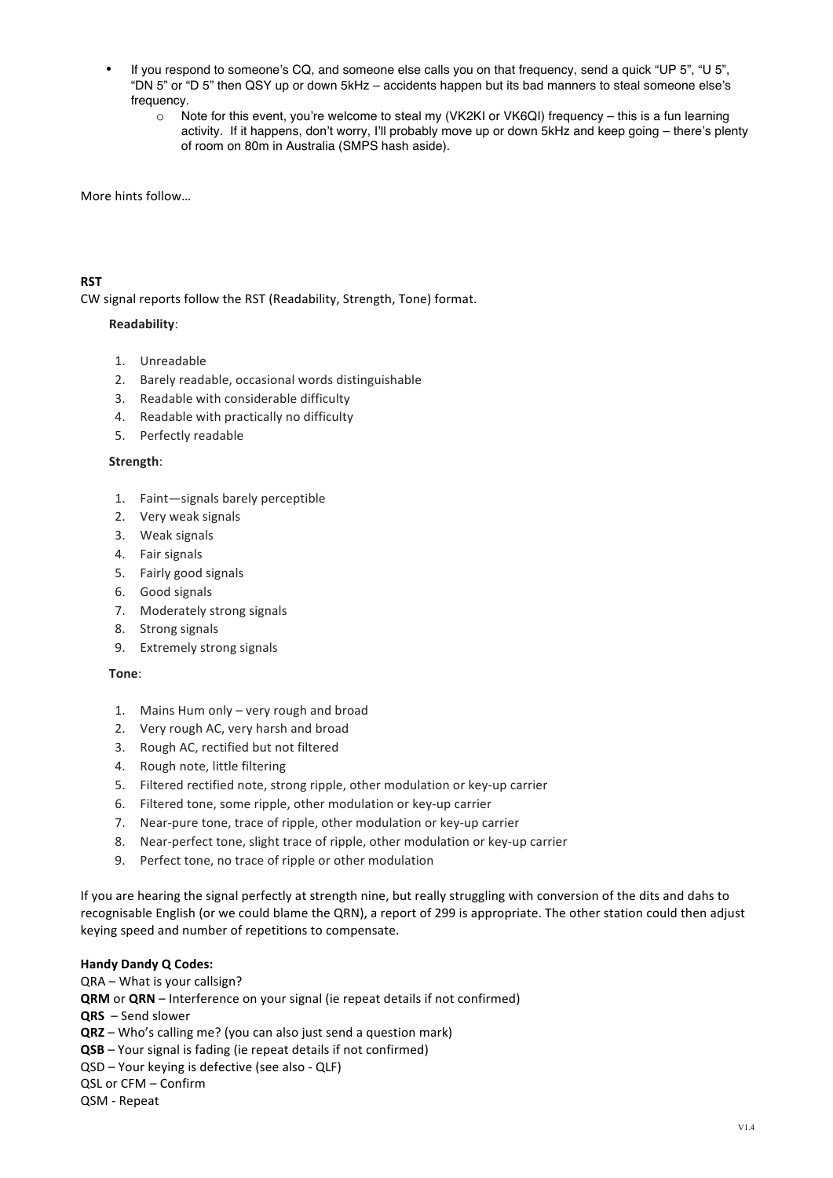- If you respond to someone's CQ, and someone else calls you on that frequency, send a quick "UP 5", "U 5", "DN 5" or "D 5" then QSY up or down 5kHz – accidents happen but its bad manners to steal someone else's frequency.
	- o Note for this event, you're welcome to steal my (VK2KI or VK6QI) frequency this is a fun learning activity. If it happens, don't worry, I'll probably move up or down 5kHz and keep going – there's plenty of room on 80m in Australia (SMPS hash aside).

More hints follow...

# **RST**

CW signal reports follow the RST (Readability, Strength, Tone) format.

# **Readability**:

- 1. Unreadable
- 2. Barely readable, occasional words distinguishable
- 3. Readable with considerable difficulty
- 4. Readable with practically no difficulty
- 5. Perfectly readable

# **Strength**:

- 1. Faint-signals barely perceptible
- 2. Very weak signals
- 3. Weak signals
- 4. Fair signals
- 5. Fairly good signals
- 6. Good signals
- 7. Moderately strong signals
- 8. Strong signals
- 9. Extremely strong signals

# **Tone**:

- 1. Mains Hum only very rough and broad
- 2. Very rough AC, very harsh and broad
- 3. Rough AC, rectified but not filtered
- 4. Rough note, little filtering
- 5. Filtered rectified note, strong ripple, other modulation or key-up carrier
- 6. Filtered tone, some ripple, other modulation or key-up carrier
- 7. Near-pure tone, trace of ripple, other modulation or key-up carrier
- 8. Near-perfect tone, slight trace of ripple, other modulation or key-up carrier
- 9. Perfect tone, no trace of ripple or other modulation

If you are hearing the signal perfectly at strength nine, but really struggling with conversion of the dits and dahs to recognisable English (or we could blame the QRN), a report of 299 is appropriate. The other station could then adjust keying speed and number of repetitions to compensate.

# **Handy Dandy Q Codes:**

 $QRA - What$  is your callsign? **QRM** or **QRN** – Interference on your signal (ie repeat details if not confirmed) **QRS** – Send slower **QRZ** – Who's calling me? (you can also just send a question mark) **QSB** – Your signal is fading (ie repeat details if not confirmed) QSD – Your keying is defective (see also - QLF) QSL or CFM - Confirm QSM - Repeat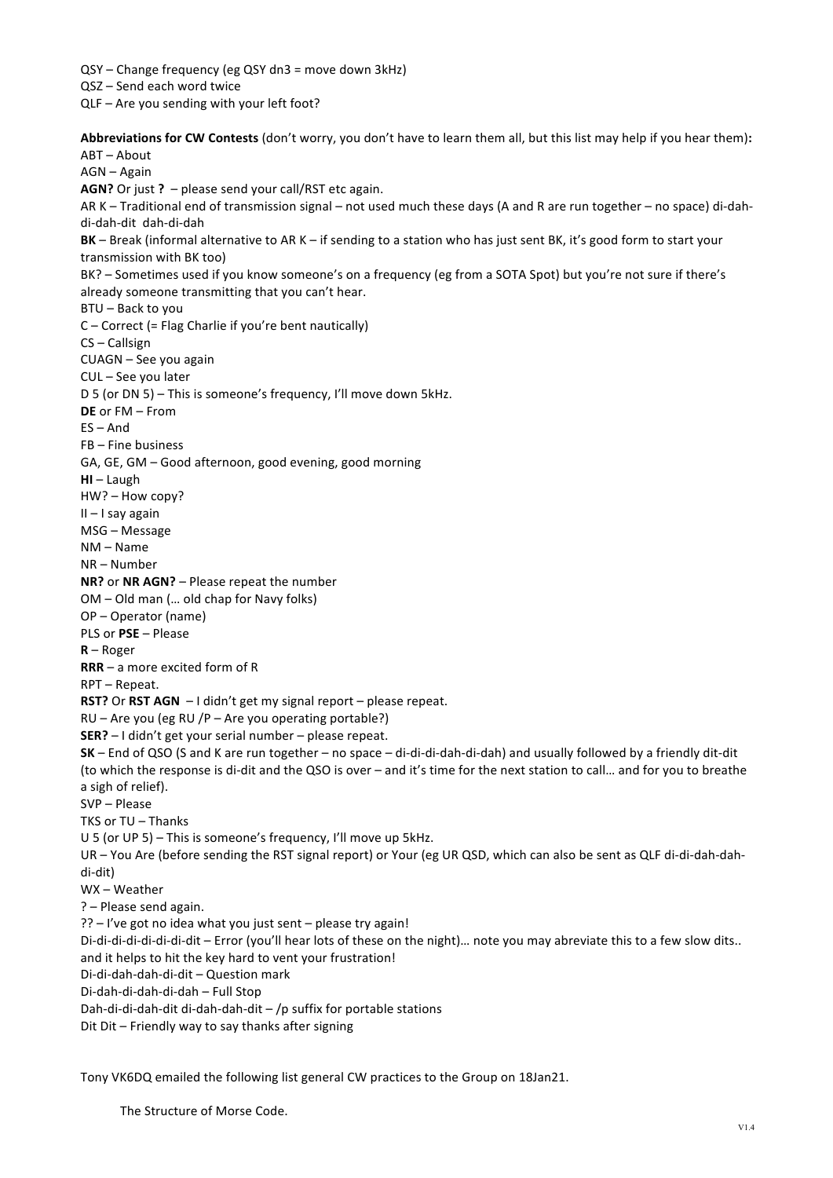QSY - Change frequency (eg QSY dn3 = move down 3kHz) QSZ - Send each word twice QLF - Are you sending with your left foot?

Abbreviations for CW Contests (don't worry, you don't have to learn them all, but this list may help if you hear them): ABT-About AGN – Again **AGN?** Or just ? - please send your call/RST etc again. AR K – Traditional end of transmission signal – not used much these days (A and R are run together – no space) di-dahdi-dah-dit dah-di-dah **BK** – Break (informal alternative to AR K – if sending to a station who has just sent BK, it's good form to start your transmission with BK too) BK? – Sometimes used if you know someone's on a frequency (eg from a SOTA Spot) but you're not sure if there's already someone transmitting that you can't hear.  $BTU - Back$  to you  $C$  – Correct (= Flag Charlie if you're bent nautically) CS-Callsign CUAGN – See you again CUL – See vou later D 5 (or DN 5) – This is someone's frequency, I'll move down 5kHz. **DE** or FM – From  $FS - And$  $FB$  – Fine business GA, GE, GM - Good afternoon, good evening, good morning **HI** – Laugh HW? - How copy?  $II - I$  say again MSG – Message NM – Name NR – Number **NR?** or NR AGN? – Please repeat the number  $OM - Old$  man  $(...$  old chap for Navy folks) OP – Operator (name) PLS or **PSE** – Please **R** – Roger **RRR** – a more excited form of R RPT – Repeat. **RST?** Or **RST AGN** - I didn't get my signal report - please repeat.  $RU -$  Are you (eg RU /P – Are you operating portable?) **SER?** – I didn't get your serial number – please repeat. **SK** – End of QSO (S and K are run together – no space – di-di-di-dah-di-dah) and usually followed by a friendly dit-dit (to which the response is di-dit and the QSO is over – and it's time for the next station to call... and for you to breathe a sigh of relief). SVP - Please TKS or TU – Thanks U 5 (or UP 5) – This is someone's frequency, I'll move up 5kHz. UR - You Are (before sending the RST signal report) or Your (eg UR QSD, which can also be sent as QLF di-di-dah-dahdi-dit) WX - Weather ? – Please send again. ?? - I've got no idea what you just sent - please try again! Di-di-di-di-di-di-di-dit - Error (you'll hear lots of these on the night)... note you may abreviate this to a few slow dits.. and it helps to hit the key hard to vent your frustration! Di-di-dah-dah-di-dit - Question mark Di-dah-di-dah-di-dah - Full Stop Dah-di-di-dah-dit di-dah-dah-dit  $-$  /p suffix for portable stations Dit  $D$ it – Friendly way to say thanks after signing

Tony VK6DQ emailed the following list general CW practices to the Group on 18Jan21.

The Structure of Morse Code.